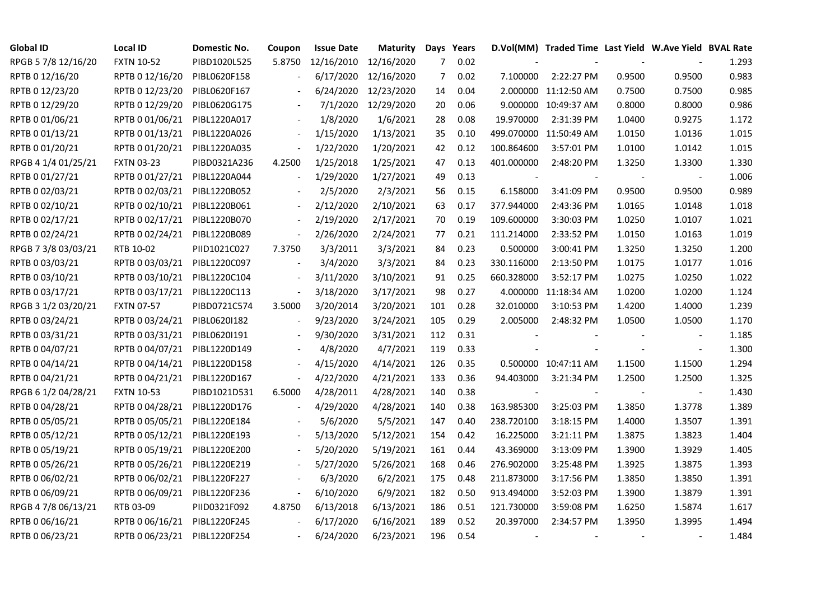| <b>Global ID</b>    | <b>Local ID</b>   | Domestic No. | Coupon                   | <b>Issue Date</b> | Maturity   |     | Days Years |                          | D.Vol(MM) Traded Time Last Yield W.Ave Yield BVAL Rate |        |                          |       |
|---------------------|-------------------|--------------|--------------------------|-------------------|------------|-----|------------|--------------------------|--------------------------------------------------------|--------|--------------------------|-------|
| RPGB 5 7/8 12/16/20 | <b>FXTN 10-52</b> | PIBD1020L525 | 5.8750                   | 12/16/2010        | 12/16/2020 | 7   | 0.02       |                          |                                                        |        |                          | 1.293 |
| RPTB 0 12/16/20     | RPTB 0 12/16/20   | PIBL0620F158 |                          | 6/17/2020         | 12/16/2020 | 7   | 0.02       | 7.100000                 | 2:22:27 PM                                             | 0.9500 | 0.9500                   | 0.983 |
| RPTB 0 12/23/20     | RPTB 0 12/23/20   | PIBL0620F167 |                          | 6/24/2020         | 12/23/2020 | 14  | 0.04       |                          | 2.000000 11:12:50 AM                                   | 0.7500 | 0.7500                   | 0.985 |
| RPTB 0 12/29/20     | RPTB 0 12/29/20   | PIBL0620G175 | $\overline{\phantom{a}}$ | 7/1/2020          | 12/29/2020 | 20  | 0.06       |                          | 9.000000 10:49:37 AM                                   | 0.8000 | 0.8000                   | 0.986 |
| RPTB 0 01/06/21     | RPTB 0 01/06/21   | PIBL1220A017 |                          | 1/8/2020          | 1/6/2021   | 28  | 0.08       | 19.970000                | 2:31:39 PM                                             | 1.0400 | 0.9275                   | 1.172 |
| RPTB 0 01/13/21     | RPTB 0 01/13/21   | PIBL1220A026 | $\blacksquare$           | 1/15/2020         | 1/13/2021  | 35  | 0.10       |                          | 499.070000 11:50:49 AM                                 | 1.0150 | 1.0136                   | 1.015 |
| RPTB 0 01/20/21     | RPTB 0 01/20/21   | PIBL1220A035 | $\Box$                   | 1/22/2020         | 1/20/2021  | 42  | 0.12       | 100.864600               | 3:57:01 PM                                             | 1.0100 | 1.0142                   | 1.015 |
| RPGB 4 1/4 01/25/21 | <b>FXTN 03-23</b> | PIBD0321A236 | 4.2500                   | 1/25/2018         | 1/25/2021  | 47  | 0.13       | 401.000000               | 2:48:20 PM                                             | 1.3250 | 1.3300                   | 1.330 |
| RPTB 0 01/27/21     | RPTB 0 01/27/21   | PIBL1220A044 |                          | 1/29/2020         | 1/27/2021  | 49  | 0.13       |                          |                                                        |        |                          | 1.006 |
| RPTB 0 02/03/21     | RPTB 0 02/03/21   | PIBL1220B052 |                          | 2/5/2020          | 2/3/2021   | 56  | 0.15       | 6.158000                 | 3:41:09 PM                                             | 0.9500 | 0.9500                   | 0.989 |
| RPTB 0 02/10/21     | RPTB 0 02/10/21   | PIBL1220B061 | $\blacksquare$           | 2/12/2020         | 2/10/2021  | 63  | 0.17       | 377.944000               | 2:43:36 PM                                             | 1.0165 | 1.0148                   | 1.018 |
| RPTB 0 02/17/21     | RPTB 0 02/17/21   | PIBL1220B070 | $\blacksquare$           | 2/19/2020         | 2/17/2021  | 70  | 0.19       | 109.600000               | 3:30:03 PM                                             | 1.0250 | 1.0107                   | 1.021 |
| RPTB 0 02/24/21     | RPTB 0 02/24/21   | PIBL1220B089 | $\Box$                   | 2/26/2020         | 2/24/2021  | 77  | 0.21       | 111.214000               | 2:33:52 PM                                             | 1.0150 | 1.0163                   | 1.019 |
| RPGB 7 3/8 03/03/21 | RTB 10-02         | PIID1021C027 | 7.3750                   | 3/3/2011          | 3/3/2021   | 84  | 0.23       | 0.500000                 | 3:00:41 PM                                             | 1.3250 | 1.3250                   | 1.200 |
| RPTB 0 03/03/21     | RPTB 0 03/03/21   | PIBL1220C097 |                          | 3/4/2020          | 3/3/2021   | 84  | 0.23       | 330.116000               | 2:13:50 PM                                             | 1.0175 | 1.0177                   | 1.016 |
| RPTB 0 03/10/21     | RPTB 0 03/10/21   | PIBL1220C104 |                          | 3/11/2020         | 3/10/2021  | 91  | 0.25       | 660.328000               | 3:52:17 PM                                             | 1.0275 | 1.0250                   | 1.022 |
| RPTB 0 03/17/21     | RPTB 0 03/17/21   | PIBL1220C113 | $\overline{\phantom{a}}$ | 3/18/2020         | 3/17/2021  | 98  | 0.27       |                          | 4.000000 11:18:34 AM                                   | 1.0200 | 1.0200                   | 1.124 |
| RPGB 3 1/2 03/20/21 | <b>FXTN 07-57</b> | PIBD0721C574 | 3.5000                   | 3/20/2014         | 3/20/2021  | 101 | 0.28       | 32.010000                | 3:10:53 PM                                             | 1.4200 | 1.4000                   | 1.239 |
| RPTB 0 03/24/21     | RPTB 0 03/24/21   | PIBL0620I182 | $\blacksquare$           | 9/23/2020         | 3/24/2021  | 105 | 0.29       | 2.005000                 | 2:48:32 PM                                             | 1.0500 | 1.0500                   | 1.170 |
| RPTB 0 03/31/21     | RPTB 0 03/31/21   | PIBL0620I191 |                          | 9/30/2020         | 3/31/2021  | 112 | 0.31       |                          |                                                        |        | $\overline{\phantom{a}}$ | 1.185 |
| RPTB 0 04/07/21     | RPTB 0 04/07/21   | PIBL1220D149 |                          | 4/8/2020          | 4/7/2021   | 119 | 0.33       |                          |                                                        |        | $\blacksquare$           | 1.300 |
| RPTB 0 04/14/21     | RPTB 0 04/14/21   | PIBL1220D158 |                          | 4/15/2020         | 4/14/2021  | 126 | 0.35       |                          | 0.500000 10:47:11 AM                                   | 1.1500 | 1.1500                   | 1.294 |
| RPTB 0 04/21/21     | RPTB 0 04/21/21   | PIBL1220D167 | $\overline{a}$           | 4/22/2020         | 4/21/2021  | 133 | 0.36       | 94.403000                | 3:21:34 PM                                             | 1.2500 | 1.2500                   | 1.325 |
| RPGB 6 1/2 04/28/21 | <b>FXTN 10-53</b> | PIBD1021D531 | 6.5000                   | 4/28/2011         | 4/28/2021  | 140 | 0.38       |                          |                                                        |        |                          | 1.430 |
| RPTB 0 04/28/21     | RPTB 0 04/28/21   | PIBL1220D176 | $\overline{\phantom{a}}$ | 4/29/2020         | 4/28/2021  | 140 | 0.38       | 163.985300               | 3:25:03 PM                                             | 1.3850 | 1.3778                   | 1.389 |
| RPTB 0 05/05/21     | RPTB 0 05/05/21   | PIBL1220E184 |                          | 5/6/2020          | 5/5/2021   | 147 | 0.40       | 238.720100               | 3:18:15 PM                                             | 1.4000 | 1.3507                   | 1.391 |
| RPTB 0 05/12/21     | RPTB 0 05/12/21   | PIBL1220E193 |                          | 5/13/2020         | 5/12/2021  | 154 | 0.42       | 16.225000                | 3:21:11 PM                                             | 1.3875 | 1.3823                   | 1.404 |
| RPTB 0 05/19/21     | RPTB 0 05/19/21   | PIBL1220E200 |                          | 5/20/2020         | 5/19/2021  | 161 | 0.44       | 43.369000                | 3:13:09 PM                                             | 1.3900 | 1.3929                   | 1.405 |
| RPTB 0 05/26/21     | RPTB 0 05/26/21   | PIBL1220E219 |                          | 5/27/2020         | 5/26/2021  | 168 | 0.46       | 276.902000               | 3:25:48 PM                                             | 1.3925 | 1.3875                   | 1.393 |
| RPTB 0 06/02/21     | RPTB 0 06/02/21   | PIBL1220F227 |                          | 6/3/2020          | 6/2/2021   | 175 | 0.48       | 211.873000               | 3:17:56 PM                                             | 1.3850 | 1.3850                   | 1.391 |
| RPTB 0 06/09/21     | RPTB 0 06/09/21   | PIBL1220F236 | $\overline{\phantom{a}}$ | 6/10/2020         | 6/9/2021   | 182 | 0.50       | 913.494000               | 3:52:03 PM                                             | 1.3900 | 1.3879                   | 1.391 |
| RPGB 4 7/8 06/13/21 | RTB 03-09         | PIID0321F092 | 4.8750                   | 6/13/2018         | 6/13/2021  | 186 | 0.51       | 121.730000               | 3:59:08 PM                                             | 1.6250 | 1.5874                   | 1.617 |
| RPTB 0 06/16/21     | RPTB 0 06/16/21   | PIBL1220F245 | $\blacksquare$           | 6/17/2020         | 6/16/2021  | 189 | 0.52       | 20.397000                | 2:34:57 PM                                             | 1.3950 | 1.3995                   | 1.494 |
| RPTB 0 06/23/21     | RPTB 0 06/23/21   | PIBL1220F254 |                          | 6/24/2020         | 6/23/2021  | 196 | 0.54       | $\overline{\phantom{a}}$ |                                                        |        |                          | 1.484 |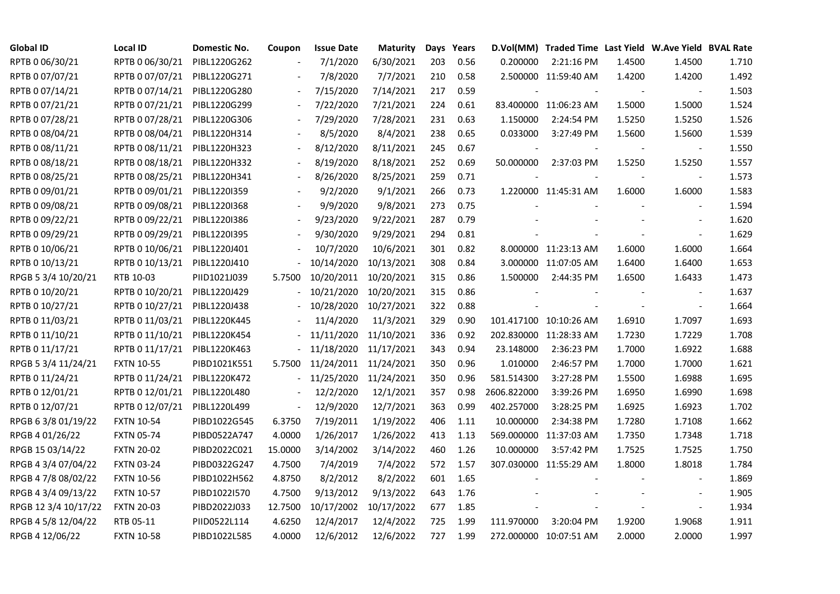| <b>Global ID</b>     | <b>Local ID</b>   | Domestic No. | Coupon                   | <b>Issue Date</b> | <b>Maturity</b> |     | Days Years |             | D.Vol(MM) Traded Time Last Yield W.Ave Yield BVAL Rate |        |                          |       |
|----------------------|-------------------|--------------|--------------------------|-------------------|-----------------|-----|------------|-------------|--------------------------------------------------------|--------|--------------------------|-------|
| RPTB 0 06/30/21      | RPTB 0 06/30/21   | PIBL1220G262 |                          | 7/1/2020          | 6/30/2021       | 203 | 0.56       | 0.200000    | 2:21:16 PM                                             | 1.4500 | 1.4500                   | 1.710 |
| RPTB 0 07/07/21      | RPTB 0 07/07/21   | PIBL1220G271 |                          | 7/8/2020          | 7/7/2021        | 210 | 0.58       |             | 2.500000 11:59:40 AM                                   | 1.4200 | 1.4200                   | 1.492 |
| RPTB 0 07/14/21      | RPTB 0 07/14/21   | PIBL1220G280 | $\overline{\phantom{a}}$ | 7/15/2020         | 7/14/2021       | 217 | 0.59       |             |                                                        |        |                          | 1.503 |
| RPTB 0 07/21/21      | RPTB 0 07/21/21   | PIBL1220G299 | $\overline{\phantom{a}}$ | 7/22/2020         | 7/21/2021       | 224 | 0.61       |             | 83.400000 11:06:23 AM                                  | 1.5000 | 1.5000                   | 1.524 |
| RPTB 0 07/28/21      | RPTB 0 07/28/21   | PIBL1220G306 |                          | 7/29/2020         | 7/28/2021       | 231 | 0.63       | 1.150000    | 2:24:54 PM                                             | 1.5250 | 1.5250                   | 1.526 |
| RPTB 0 08/04/21      | RPTB 0 08/04/21   | PIBL1220H314 |                          | 8/5/2020          | 8/4/2021        | 238 | 0.65       | 0.033000    | 3:27:49 PM                                             | 1.5600 | 1.5600                   | 1.539 |
| RPTB 0 08/11/21      | RPTB 0 08/11/21   | PIBL1220H323 |                          | 8/12/2020         | 8/11/2021       | 245 | 0.67       |             |                                                        |        | $\overline{\phantom{a}}$ | 1.550 |
| RPTB 0 08/18/21      | RPTB 0 08/18/21   | PIBL1220H332 |                          | 8/19/2020         | 8/18/2021       | 252 | 0.69       | 50.000000   | 2:37:03 PM                                             | 1.5250 | 1.5250                   | 1.557 |
| RPTB 0 08/25/21      | RPTB 0 08/25/21   | PIBL1220H341 |                          | 8/26/2020         | 8/25/2021       | 259 | 0.71       |             |                                                        |        |                          | 1.573 |
| RPTB 0 09/01/21      | RPTB 0 09/01/21   | PIBL1220I359 |                          | 9/2/2020          | 9/1/2021        | 266 | 0.73       |             | 1.220000 11:45:31 AM                                   | 1.6000 | 1.6000                   | 1.583 |
| RPTB 0 09/08/21      | RPTB 0 09/08/21   | PIBL1220I368 | $\blacksquare$           | 9/9/2020          | 9/8/2021        | 273 | 0.75       |             |                                                        |        | $\blacksquare$           | 1.594 |
| RPTB 0 09/22/21      | RPTB 0 09/22/21   | PIBL1220I386 |                          | 9/23/2020         | 9/22/2021       | 287 | 0.79       |             |                                                        |        |                          | 1.620 |
| RPTB 0 09/29/21      | RPTB 0 09/29/21   | PIBL12201395 |                          | 9/30/2020         | 9/29/2021       | 294 | 0.81       |             |                                                        |        | $\blacksquare$           | 1.629 |
| RPTB 0 10/06/21      | RPTB 0 10/06/21   | PIBL1220J401 |                          | 10/7/2020         | 10/6/2021       | 301 | 0.82       |             | 8.000000 11:23:13 AM                                   | 1.6000 | 1.6000                   | 1.664 |
| RPTB 0 10/13/21      | RPTB 0 10/13/21   | PIBL1220J410 |                          | 10/14/2020        | 10/13/2021      | 308 | 0.84       |             | 3.000000 11:07:05 AM                                   | 1.6400 | 1.6400                   | 1.653 |
| RPGB 5 3/4 10/20/21  | RTB 10-03         | PIID1021J039 | 5.7500                   | 10/20/2011        | 10/20/2021      | 315 | 0.86       | 1.500000    | 2:44:35 PM                                             | 1.6500 | 1.6433                   | 1.473 |
| RPTB 0 10/20/21      | RPTB 0 10/20/21   | PIBL1220J429 |                          | 10/21/2020        | 10/20/2021      | 315 | 0.86       |             |                                                        |        |                          | 1.637 |
| RPTB 0 10/27/21      | RPTB 0 10/27/21   | PIBL1220J438 |                          | 10/28/2020        | 10/27/2021      | 322 | 0.88       |             |                                                        |        | $\blacksquare$           | 1.664 |
| RPTB 0 11/03/21      | RPTB 0 11/03/21   | PIBL1220K445 |                          | 11/4/2020         | 11/3/2021       | 329 | 0.90       |             | 101.417100 10:10:26 AM                                 | 1.6910 | 1.7097                   | 1.693 |
| RPTB 0 11/10/21      | RPTB 0 11/10/21   | PIBL1220K454 |                          | 11/11/2020        | 11/10/2021      | 336 | 0.92       |             | 202.830000 11:28:33 AM                                 | 1.7230 | 1.7229                   | 1.708 |
| RPTB 0 11/17/21      | RPTB 0 11/17/21   | PIBL1220K463 |                          | 11/18/2020        | 11/17/2021      | 343 | 0.94       | 23.148000   | 2:36:23 PM                                             | 1.7000 | 1.6922                   | 1.688 |
| RPGB 5 3/4 11/24/21  | <b>FXTN 10-55</b> | PIBD1021K551 | 5.7500                   | 11/24/2011        | 11/24/2021      | 350 | 0.96       | 1.010000    | 2:46:57 PM                                             | 1.7000 | 1.7000                   | 1.621 |
| RPTB 0 11/24/21      | RPTB 0 11/24/21   | PIBL1220K472 |                          | 11/25/2020        | 11/24/2021      | 350 | 0.96       | 581.514300  | 3:27:28 PM                                             | 1.5500 | 1.6988                   | 1.695 |
| RPTB 0 12/01/21      | RPTB 0 12/01/21   | PIBL1220L480 |                          | 12/2/2020         | 12/1/2021       | 357 | 0.98       | 2606.822000 | 3:39:26 PM                                             | 1.6950 | 1.6990                   | 1.698 |
| RPTB 0 12/07/21      | RPTB 0 12/07/21   | PIBL1220L499 | $\overline{\phantom{a}}$ | 12/9/2020         | 12/7/2021       | 363 | 0.99       | 402.257000  | 3:28:25 PM                                             | 1.6925 | 1.6923                   | 1.702 |
| RPGB 63/8 01/19/22   | <b>FXTN 10-54</b> | PIBD1022G545 | 6.3750                   | 7/19/2011         | 1/19/2022       | 406 | 1.11       | 10.000000   | 2:34:38 PM                                             | 1.7280 | 1.7108                   | 1.662 |
| RPGB 4 01/26/22      | <b>FXTN 05-74</b> | PIBD0522A747 | 4.0000                   | 1/26/2017         | 1/26/2022       | 413 | 1.13       |             | 569.000000 11:37:03 AM                                 | 1.7350 | 1.7348                   | 1.718 |
| RPGB 15 03/14/22     | <b>FXTN 20-02</b> | PIBD2022C021 | 15.0000                  | 3/14/2002         | 3/14/2022       | 460 | 1.26       | 10.000000   | 3:57:42 PM                                             | 1.7525 | 1.7525                   | 1.750 |
| RPGB 4 3/4 07/04/22  | <b>FXTN 03-24</b> | PIBD0322G247 | 4.7500                   | 7/4/2019          | 7/4/2022        | 572 | 1.57       |             | 307.030000 11:55:29 AM                                 | 1.8000 | 1.8018                   | 1.784 |
| RPGB 4 7/8 08/02/22  | <b>FXTN 10-56</b> | PIBD1022H562 | 4.8750                   | 8/2/2012          | 8/2/2022        | 601 | 1.65       |             |                                                        |        |                          | 1.869 |
| RPGB 4 3/4 09/13/22  | <b>FXTN 10-57</b> | PIBD1022I570 | 4.7500                   | 9/13/2012         | 9/13/2022       | 643 | 1.76       |             |                                                        |        |                          | 1.905 |
| RPGB 12 3/4 10/17/22 | <b>FXTN 20-03</b> | PIBD2022J033 | 12.7500                  | 10/17/2002        | 10/17/2022      | 677 | 1.85       |             |                                                        |        | $\overline{\phantom{a}}$ | 1.934 |
| RPGB 4 5/8 12/04/22  | RTB 05-11         | PIID0522L114 | 4.6250                   | 12/4/2017         | 12/4/2022       | 725 | 1.99       | 111.970000  | 3:20:04 PM                                             | 1.9200 | 1.9068                   | 1.911 |
| RPGB 4 12/06/22      | <b>FXTN 10-58</b> | PIBD1022L585 | 4.0000                   | 12/6/2012         | 12/6/2022       | 727 | 1.99       |             | 272.000000 10:07:51 AM                                 | 2.0000 | 2.0000                   | 1.997 |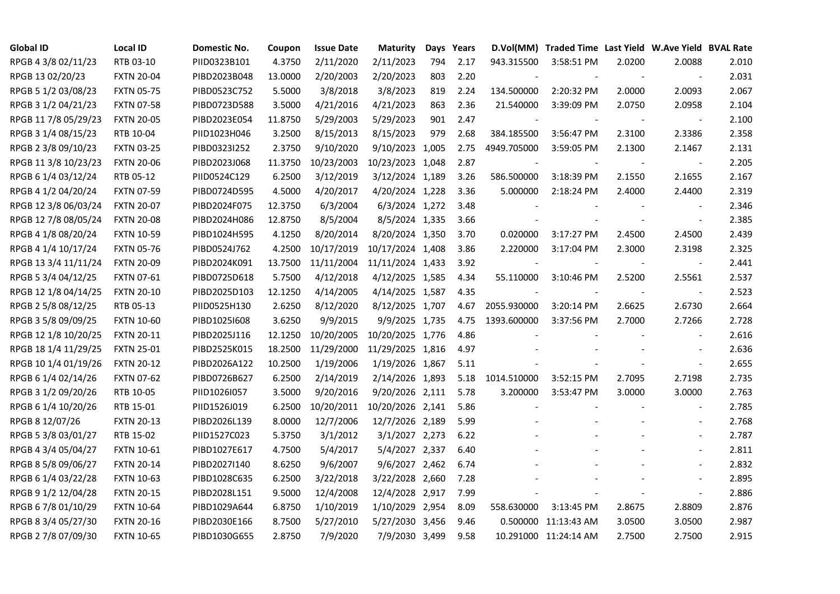| <b>Global ID</b>     | <b>Local ID</b>   | Domestic No. | Coupon  | <b>Issue Date</b> | <b>Maturity</b>  |     | Days Years |             | D.Vol(MM) Traded Time Last Yield W.Ave Yield BVAL Rate |        |                          |       |
|----------------------|-------------------|--------------|---------|-------------------|------------------|-----|------------|-------------|--------------------------------------------------------|--------|--------------------------|-------|
| RPGB 4 3/8 02/11/23  | RTB 03-10         | PIID0323B101 | 4.3750  | 2/11/2020         | 2/11/2023        | 794 | 2.17       | 943.315500  | 3:58:51 PM                                             | 2.0200 | 2.0088                   | 2.010 |
| RPGB 13 02/20/23     | <b>FXTN 20-04</b> | PIBD2023B048 | 13.0000 | 2/20/2003         | 2/20/2023        | 803 | 2.20       |             |                                                        |        |                          | 2.031 |
| RPGB 5 1/2 03/08/23  | <b>FXTN 05-75</b> | PIBD0523C752 | 5.5000  | 3/8/2018          | 3/8/2023         | 819 | 2.24       | 134.500000  | 2:20:32 PM                                             | 2.0000 | 2.0093                   | 2.067 |
| RPGB 3 1/2 04/21/23  | <b>FXTN 07-58</b> | PIBD0723D588 | 3.5000  | 4/21/2016         | 4/21/2023        | 863 | 2.36       | 21.540000   | 3:39:09 PM                                             | 2.0750 | 2.0958                   | 2.104 |
| RPGB 11 7/8 05/29/23 | <b>FXTN 20-05</b> | PIBD2023E054 | 11.8750 | 5/29/2003         | 5/29/2023        | 901 | 2.47       |             |                                                        |        | $\overline{\phantom{a}}$ | 2.100 |
| RPGB 3 1/4 08/15/23  | RTB 10-04         | PIID1023H046 | 3.2500  | 8/15/2013         | 8/15/2023        | 979 | 2.68       | 384.185500  | 3:56:47 PM                                             | 2.3100 | 2.3386                   | 2.358 |
| RPGB 2 3/8 09/10/23  | <b>FXTN 03-25</b> | PIBD0323I252 | 2.3750  | 9/10/2020         | 9/10/2023 1,005  |     | 2.75       | 4949.705000 | 3:59:05 PM                                             | 2.1300 | 2.1467                   | 2.131 |
| RPGB 11 3/8 10/23/23 | <b>FXTN 20-06</b> | PIBD2023J068 | 11.3750 | 10/23/2003        | 10/23/2023 1,048 |     | 2.87       |             |                                                        |        | $\sim$                   | 2.205 |
| RPGB 6 1/4 03/12/24  | RTB 05-12         | PIID0524C129 | 6.2500  | 3/12/2019         | 3/12/2024 1,189  |     | 3.26       | 586.500000  | 3:18:39 PM                                             | 2.1550 | 2.1655                   | 2.167 |
| RPGB 4 1/2 04/20/24  | <b>FXTN 07-59</b> | PIBD0724D595 | 4.5000  | 4/20/2017         | 4/20/2024 1,228  |     | 3.36       | 5.000000    | 2:18:24 PM                                             | 2.4000 | 2.4400                   | 2.319 |
| RPGB 12 3/8 06/03/24 | <b>FXTN 20-07</b> | PIBD2024F075 | 12.3750 | 6/3/2004          | 6/3/2024 1,272   |     | 3.48       |             |                                                        |        | $\blacksquare$           | 2.346 |
| RPGB 12 7/8 08/05/24 | <b>FXTN 20-08</b> | PIBD2024H086 | 12.8750 | 8/5/2004          | 8/5/2024 1,335   |     | 3.66       |             |                                                        |        | $\overline{\phantom{a}}$ | 2.385 |
| RPGB 4 1/8 08/20/24  | <b>FXTN 10-59</b> | PIBD1024H595 | 4.1250  | 8/20/2014         | 8/20/2024 1,350  |     | 3.70       | 0.020000    | 3:17:27 PM                                             | 2.4500 | 2.4500                   | 2.439 |
| RPGB 4 1/4 10/17/24  | <b>FXTN 05-76</b> | PIBD0524J762 | 4.2500  | 10/17/2019        | 10/17/2024 1,408 |     | 3.86       | 2.220000    | 3:17:04 PM                                             | 2.3000 | 2.3198                   | 2.325 |
| RPGB 13 3/4 11/11/24 | <b>FXTN 20-09</b> | PIBD2024K091 | 13.7500 | 11/11/2004        | 11/11/2024 1,433 |     | 3.92       |             |                                                        |        | $\overline{\phantom{a}}$ | 2.441 |
| RPGB 5 3/4 04/12/25  | <b>FXTN 07-61</b> | PIBD0725D618 | 5.7500  | 4/12/2018         | 4/12/2025 1,585  |     | 4.34       | 55.110000   | 3:10:46 PM                                             | 2.5200 | 2.5561                   | 2.537 |
| RPGB 12 1/8 04/14/25 | <b>FXTN 20-10</b> | PIBD2025D103 | 12.1250 | 4/14/2005         | 4/14/2025 1,587  |     | 4.35       |             |                                                        |        | $\overline{\phantom{a}}$ | 2.523 |
| RPGB 2 5/8 08/12/25  | RTB 05-13         | PIID0525H130 | 2.6250  | 8/12/2020         | 8/12/2025 1,707  |     | 4.67       | 2055.930000 | 3:20:14 PM                                             | 2.6625 | 2.6730                   | 2.664 |
| RPGB 3 5/8 09/09/25  | <b>FXTN 10-60</b> | PIBD10251608 | 3.6250  | 9/9/2015          | 9/9/2025 1,735   |     | 4.75       | 1393.600000 | 3:37:56 PM                                             | 2.7000 | 2.7266                   | 2.728 |
| RPGB 12 1/8 10/20/25 | <b>FXTN 20-11</b> | PIBD2025J116 | 12.1250 | 10/20/2005        | 10/20/2025 1,776 |     | 4.86       |             |                                                        |        | $\overline{\phantom{a}}$ | 2.616 |
| RPGB 18 1/4 11/29/25 | <b>FXTN 25-01</b> | PIBD2525K015 | 18.2500 | 11/29/2000        | 11/29/2025 1,816 |     | 4.97       |             |                                                        |        | $\sim$                   | 2.636 |
| RPGB 10 1/4 01/19/26 | <b>FXTN 20-12</b> | PIBD2026A122 | 10.2500 | 1/19/2006         | 1/19/2026 1,867  |     | 5.11       |             |                                                        |        | $\overline{\phantom{a}}$ | 2.655 |
| RPGB 6 1/4 02/14/26  | <b>FXTN 07-62</b> | PIBD0726B627 | 6.2500  | 2/14/2019         | 2/14/2026 1,893  |     | 5.18       | 1014.510000 | 3:52:15 PM                                             | 2.7095 | 2.7198                   | 2.735 |
| RPGB 3 1/2 09/20/26  | RTB 10-05         | PIID1026I057 | 3.5000  | 9/20/2016         | 9/20/2026 2,111  |     | 5.78       | 3.200000    | 3:53:47 PM                                             | 3.0000 | 3.0000                   | 2.763 |
| RPGB 6 1/4 10/20/26  | RTB 15-01         | PIID1526J019 | 6.2500  | 10/20/2011        | 10/20/2026 2,141 |     | 5.86       |             |                                                        |        | $\blacksquare$           | 2.785 |
| RPGB 8 12/07/26      | <b>FXTN 20-13</b> | PIBD2026L139 | 8.0000  | 12/7/2006         | 12/7/2026 2,189  |     | 5.99       |             |                                                        |        |                          | 2.768 |
| RPGB 5 3/8 03/01/27  | RTB 15-02         | PIID1527C023 | 5.3750  | 3/1/2012          | 3/1/2027 2,273   |     | 6.22       |             |                                                        |        | $\blacksquare$           | 2.787 |
| RPGB 4 3/4 05/04/27  | FXTN 10-61        | PIBD1027E617 | 4.7500  | 5/4/2017          | 5/4/2027 2,337   |     | 6.40       |             |                                                        |        | $\sim$                   | 2.811 |
| RPGB 8 5/8 09/06/27  | <b>FXTN 20-14</b> | PIBD2027I140 | 8.6250  | 9/6/2007          | 9/6/2027 2,462   |     | 6.74       |             |                                                        |        |                          | 2.832 |
| RPGB 6 1/4 03/22/28  | <b>FXTN 10-63</b> | PIBD1028C635 | 6.2500  | 3/22/2018         | 3/22/2028 2,660  |     | 7.28       |             |                                                        |        |                          | 2.895 |
| RPGB 9 1/2 12/04/28  | <b>FXTN 20-15</b> | PIBD2028L151 | 9.5000  | 12/4/2008         | 12/4/2028 2,917  |     | 7.99       |             |                                                        |        | $\sim$                   | 2.886 |
| RPGB 67/8 01/10/29   | <b>FXTN 10-64</b> | PIBD1029A644 | 6.8750  | 1/10/2019         | 1/10/2029 2,954  |     | 8.09       | 558.630000  | 3:13:45 PM                                             | 2.8675 | 2.8809                   | 2.876 |
| RPGB 8 3/4 05/27/30  | <b>FXTN 20-16</b> | PIBD2030E166 | 8.7500  | 5/27/2010         | 5/27/2030 3,456  |     | 9.46       |             | 0.500000 11:13:43 AM                                   | 3.0500 | 3.0500                   | 2.987 |
| RPGB 2 7/8 07/09/30  | <b>FXTN 10-65</b> | PIBD1030G655 | 2.8750  | 7/9/2020          | 7/9/2030 3,499   |     | 9.58       |             | 10.291000 11:24:14 AM                                  | 2.7500 | 2.7500                   | 2.915 |